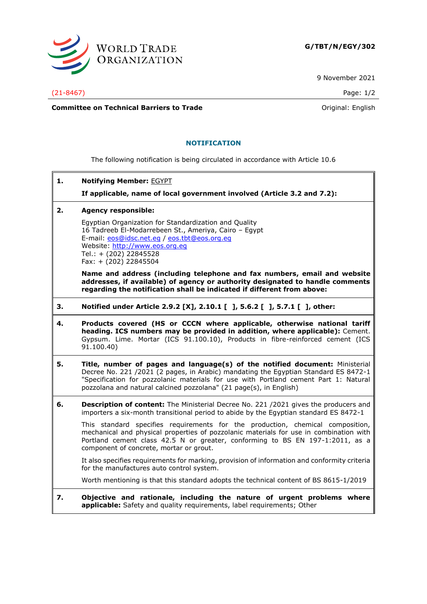

9 November 2021

(21-8467) Page: 1/2

**Committee on Technical Barriers to Trade Committee on Technical Barriers to Trade Original:** English

## **NOTIFICATION**

The following notification is being circulated in accordance with Article 10.6

**1. Notifying Member:** EGYPT

**If applicable, name of local government involved (Article 3.2 and 7.2):**

**2. Agency responsible:**

Egyptian Organization for Standardization and Quality 16 Tadreeb El-Modarrebeen St., Ameriya, Cairo – Egypt E-mail: [eos@idsc.net.eg](mailto:eos@idsc.net.eg) / [eos.tbt@eos.org.eg](mailto:eos.tbt@eos.org.eg) Website: [http://www.eos.org.eg](http://www.eos.org.eg/) Tel.: + (202) 22845528 Fax: + (202) 22845504

**Name and address (including telephone and fax numbers, email and website addresses, if available) of agency or authority designated to handle comments regarding the notification shall be indicated if different from above:**

- **3. Notified under Article 2.9.2 [X], 2.10.1 [ ], 5.6.2 [ ], 5.7.1 [ ], other:**
- **4. Products covered (HS or CCCN where applicable, otherwise national tariff heading. ICS numbers may be provided in addition, where applicable):** Cement. Gypsum. Lime. Mortar (ICS 91.100.10), Products in fibre-reinforced cement (ICS 91.100.40)
- **5. Title, number of pages and language(s) of the notified document:** Ministerial Decree No. 221 /2021 (2 pages, in Arabic) mandating the Egyptian Standard ES 8472-1 "Specification for pozzolanic materials for use with Portland cement Part 1: Natural pozzolana and natural calcined pozzolana" (21 page(s), in English)
- **6. Description of content:** The Ministerial Decree No. 221 /2021 gives the producers and importers a six-month transitional period to abide by the Egyptian standard ES 8472-1

This standard specifies requirements for the production, chemical composition, mechanical and physical properties of pozzolanic materials for use in combination with Portland cement class 42.5 N or greater, conforming to BS EN 197-1:2011, as a component of concrete, mortar or grout.

It also specifies requirements for marking, provision of information and conformity criteria for the manufactures auto control system.

Worth mentioning is that this standard adopts the technical content of BS 8615-1/2019

**7. Objective and rationale, including the nature of urgent problems where applicable:** Safety and quality requirements, label requirements; Other